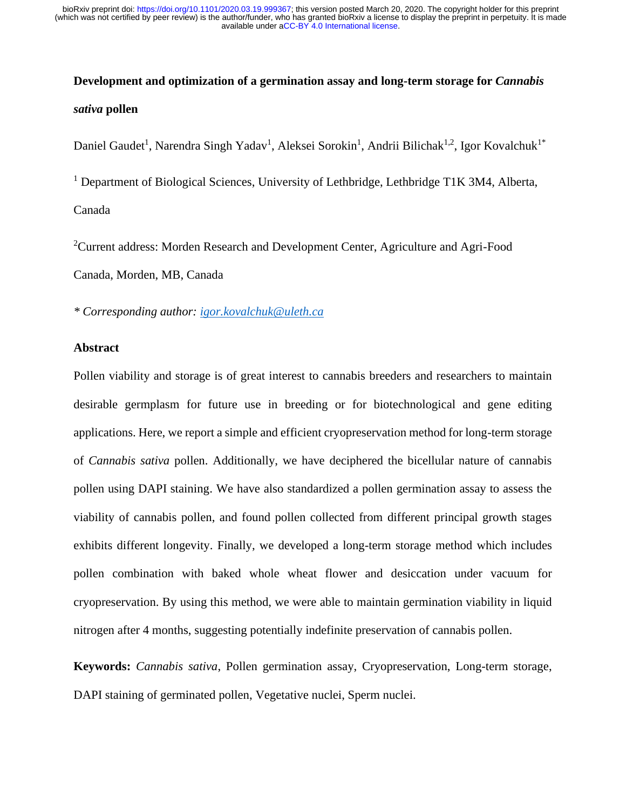# **Development and optimization of a germination assay and long-term storage for** *Cannabis sativa* **pollen**

Daniel Gaudet<sup>1</sup>, Narendra Singh Yadav<sup>1</sup>, Aleksei Sorokin<sup>1</sup>, Andrii Bilichak<sup>1,2</sup>, Igor Kovalchuk<sup>1\*</sup>

<sup>1</sup> Department of Biological Sciences, University of Lethbridge, Lethbridge T1K 3M4, Alberta, Canada

<sup>2</sup>Current address: Morden Research and Development Center, Agriculture and Agri-Food Canada, Morden, MB, Canada

*\* Corresponding author: [igor.kovalchuk@uleth.ca](mailto:igor.kovalchuk@uleth.ca)*

## **Abstract**

Pollen viability and storage is of great interest to cannabis breeders and researchers to maintain desirable germplasm for future use in breeding or for biotechnological and gene editing applications. Here, we report a simple and efficient cryopreservation method for long-term storage of *Cannabis sativa* pollen. Additionally, we have deciphered the bicellular nature of cannabis pollen using DAPI staining. We have also standardized a pollen germination assay to assess the viability of cannabis pollen, and found pollen collected from different principal growth stages exhibits different longevity. Finally, we developed a long-term storage method which includes pollen combination with baked whole wheat flower and desiccation under vacuum for cryopreservation. By using this method, we were able to maintain germination viability in liquid nitrogen after 4 months, suggesting potentially indefinite preservation of cannabis pollen.

**Keywords:** *Cannabis sativa*, Pollen germination assay, Cryopreservation, Long-term storage, DAPI staining of germinated pollen, Vegetative nuclei, Sperm nuclei.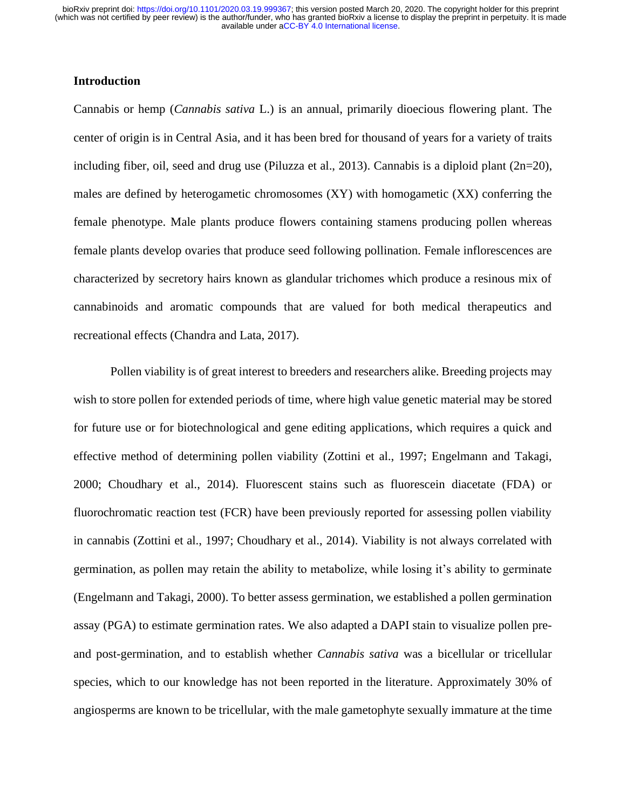# **Introduction**

Cannabis or hemp (*Cannabis sativa* L.) is an annual, primarily dioecious flowering plant. The center of origin is in Central Asia, and it has been bred for thousand of years for a variety of traits including fiber, oil, seed and drug use (Piluzza et al., 2013). Cannabis is a diploid plant (2n=20), males are defined by heterogametic chromosomes (XY) with homogametic (XX) conferring the female phenotype. Male plants produce flowers containing stamens producing pollen whereas female plants develop ovaries that produce seed following pollination. Female inflorescences are characterized by secretory hairs known as glandular trichomes which produce a resinous mix of cannabinoids and aromatic compounds that are valued for both medical therapeutics and recreational effects (Chandra and Lata, 2017).

Pollen viability is of great interest to breeders and researchers alike. Breeding projects may wish to store pollen for extended periods of time, where high value genetic material may be stored for future use or for biotechnological and gene editing applications, which requires a quick and effective method of determining pollen viability (Zottini et al., 1997; Engelmann and Takagi, 2000; Choudhary et al., 2014). Fluorescent stains such as fluorescein diacetate (FDA) or fluorochromatic reaction test (FCR) have been previously reported for assessing pollen viability in cannabis (Zottini et al., 1997; Choudhary et al., 2014). Viability is not always correlated with germination, as pollen may retain the ability to metabolize, while losing it's ability to germinate (Engelmann and Takagi, 2000). To better assess germination, we established a pollen germination assay (PGA) to estimate germination rates. We also adapted a DAPI stain to visualize pollen preand post-germination, and to establish whether *Cannabis sativa* was a bicellular or tricellular species, which to our knowledge has not been reported in the literature. Approximately 30% of angiosperms are known to be tricellular, with the male gametophyte sexually immature at the time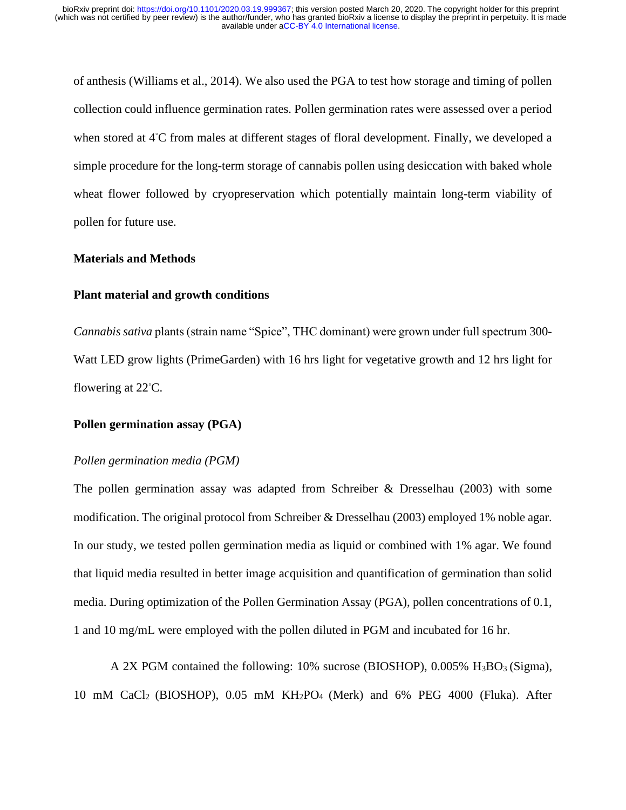of anthesis (Williams et al., 2014). We also used the PGA to test how storage and timing of pollen collection could influence germination rates. Pollen germination rates were assessed over a period when stored at 4◦C from males at different stages of floral development. Finally, we developed a simple procedure for the long-term storage of cannabis pollen using desiccation with baked whole wheat flower followed by cryopreservation which potentially maintain long-term viability of pollen for future use.

#### **Materials and Methods**

#### **Plant material and growth conditions**

*Cannabis sativa* plants (strain name "Spice", THC dominant) were grown under full spectrum 300- Watt LED grow lights (PrimeGarden) with 16 hrs light for vegetative growth and 12 hrs light for flowering at 22<sup>°</sup>C.

## **Pollen germination assay (PGA)**

### *Pollen germination media (PGM)*

The pollen germination assay was adapted from Schreiber & Dresselhau (2003) with some modification. The original protocol from Schreiber & Dresselhau (2003) employed 1% noble agar. In our study, we tested pollen germination media as liquid or combined with 1% agar. We found that liquid media resulted in better image acquisition and quantification of germination than solid media. During optimization of the Pollen Germination Assay (PGA), pollen concentrations of 0.1, 1 and 10 mg/mL were employed with the pollen diluted in PGM and incubated for 16 hr.

A 2X PGM contained the following:  $10\%$  sucrose (BIOSHOP), 0.005% H<sub>3</sub>BO<sub>3</sub> (Sigma), 10 mM CaCl2 (BIOSHOP), 0.05 mM KH2PO4 (Merk) and 6% PEG 4000 (Fluka). After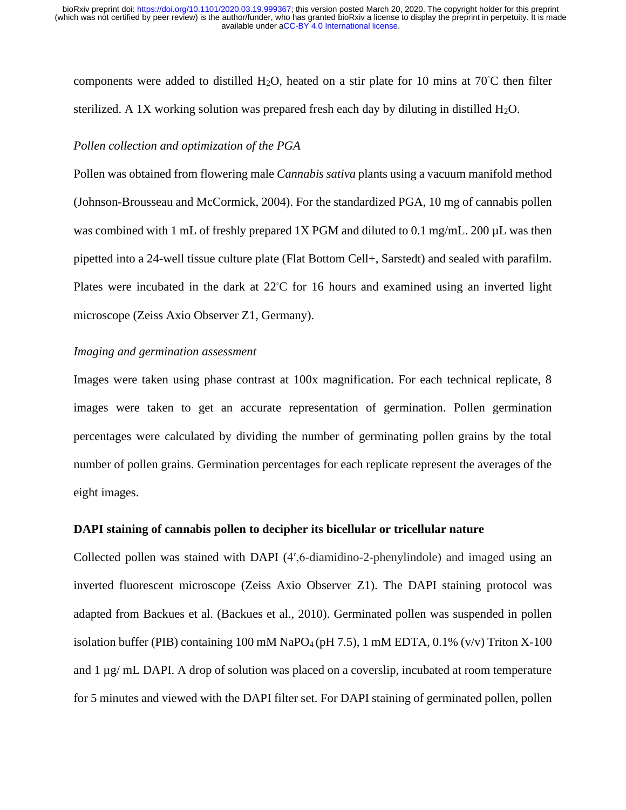components were added to distilled H<sub>2</sub>O, heated on a stir plate for 10 mins at 70<sup>°</sup>C then filter sterilized. A 1X working solution was prepared fresh each day by diluting in distilled  $H_2O$ .

#### *Pollen collection and optimization of the PGA*

Pollen was obtained from flowering male *Cannabis sativa* plants using a vacuum manifold method (Johnson-Brousseau and McCormick, 2004). For the standardized PGA, 10 mg of cannabis pollen was combined with 1 mL of freshly prepared 1X PGM and diluted to 0.1 mg/mL. 200  $\mu$ L was then pipetted into a 24-well tissue culture plate (Flat Bottom Cell+, Sarstedt) and sealed with parafilm. Plates were incubated in the dark at 22◦C for 16 hours and examined using an inverted light microscope (Zeiss Axio Observer Z1, Germany).

## *Imaging and germination assessment*

Images were taken using phase contrast at 100x magnification. For each technical replicate, 8 images were taken to get an accurate representation of germination. Pollen germination percentages were calculated by dividing the number of germinating pollen grains by the total number of pollen grains. Germination percentages for each replicate represent the averages of the eight images.

#### **DAPI staining of cannabis pollen to decipher its bicellular or tricellular nature**

Collected pollen was stained with DAPI (4′,6-diamidino-2-phenylindole) and imaged using an inverted fluorescent microscope (Zeiss Axio Observer Z1). The DAPI staining protocol was adapted from Backues et al. (Backues et al., 2010). Germinated pollen was suspended in pollen isolation buffer (PIB) containing 100 mM NaPO<sub>4</sub> (pH 7.5), 1 mM EDTA,  $0.1\%$  (v/v) Triton X-100 and  $1 \mu g/mL$  DAPI. A drop of solution was placed on a coverslip, incubated at room temperature for 5 minutes and viewed with the DAPI filter set. For DAPI staining of germinated pollen, pollen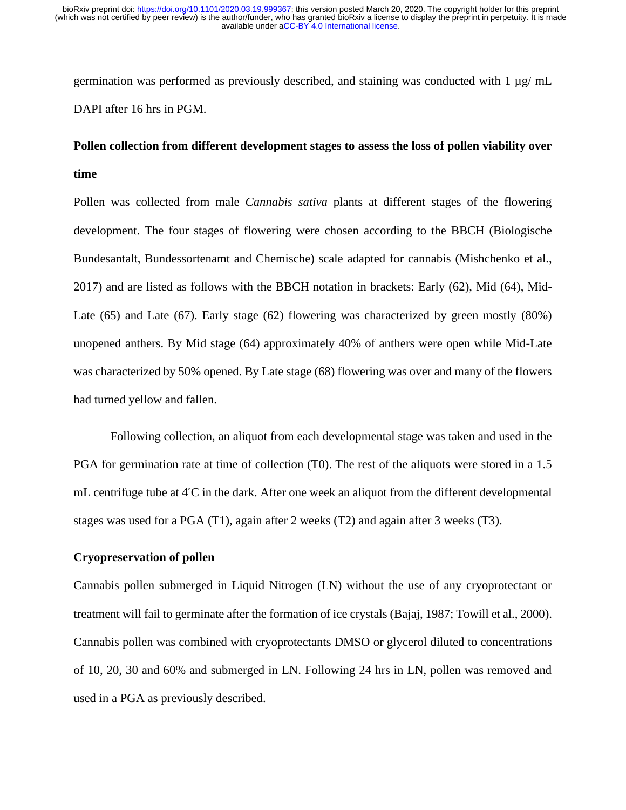germination was performed as previously described, and staining was conducted with  $1 \mu g$ / mL DAPI after 16 hrs in PGM.

# **Pollen collection from different development stages to assess the loss of pollen viability over time**

Pollen was collected from male *Cannabis sativa* plants at different stages of the flowering development. The four stages of flowering were chosen according to the BBCH (Biologische Bundesantalt, Bundessortenamt and Chemische) scale adapted for cannabis (Mishchenko et al., 2017) and are listed as follows with the BBCH notation in brackets: Early (62), Mid (64), Mid-Late (65) and Late (67). Early stage (62) flowering was characterized by green mostly (80%) unopened anthers. By Mid stage (64) approximately 40% of anthers were open while Mid-Late was characterized by 50% opened. By Late stage (68) flowering was over and many of the flowers had turned yellow and fallen.

Following collection, an aliquot from each developmental stage was taken and used in the PGA for germination rate at time of collection (T0). The rest of the aliquots were stored in a 1.5 mL centrifuge tube at 4◦C in the dark. After one week an aliquot from the different developmental stages was used for a PGA (T1), again after 2 weeks (T2) and again after 3 weeks (T3).

## **Cryopreservation of pollen**

Cannabis pollen submerged in Liquid Nitrogen (LN) without the use of any cryoprotectant or treatment will fail to germinate after the formation of ice crystals (Bajaj, 1987; Towill et al., 2000). Cannabis pollen was combined with cryoprotectants DMSO or glycerol diluted to concentrations of 10, 20, 30 and 60% and submerged in LN. Following 24 hrs in LN, pollen was removed and used in a PGA as previously described.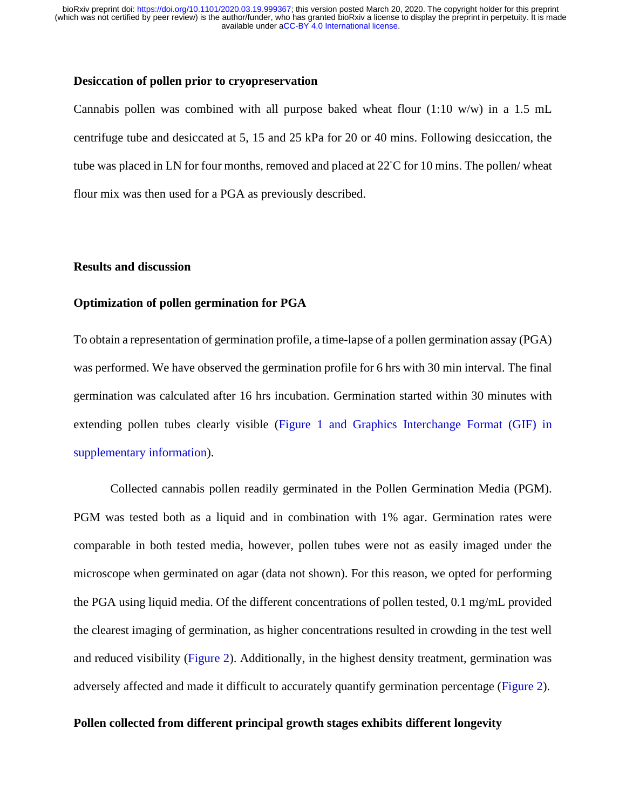### **Desiccation of pollen prior to cryopreservation**

Cannabis pollen was combined with all purpose baked wheat flour  $(1:10 \text{ w/w})$  in a 1.5 mL centrifuge tube and desiccated at 5, 15 and 25 kPa for 20 or 40 mins. Following desiccation, the tube was placed in LN for four months, removed and placed at 22◦C for 10 mins. The pollen/ wheat flour mix was then used for a PGA as previously described.

# **Results and discussion**

# **Optimization of pollen germination for PGA**

To obtain a representation of germination profile, a time-lapse of a pollen germination assay (PGA) was performed. We have observed the germination profile for 6 hrs with 30 min interval. The final germination was calculated after 16 hrs incubation. Germination started within 30 minutes with extending pollen tubes clearly visible (Figure 1 and Graphics Interchange Format (GIF) in supplementary information).

Collected cannabis pollen readily germinated in the Pollen Germination Media (PGM). PGM was tested both as a liquid and in combination with 1% agar. Germination rates were comparable in both tested media, however, pollen tubes were not as easily imaged under the microscope when germinated on agar (data not shown). For this reason, we opted for performing the PGA using liquid media. Of the different concentrations of pollen tested, 0.1 mg/mL provided the clearest imaging of germination, as higher concentrations resulted in crowding in the test well and reduced visibility (Figure 2). Additionally, in the highest density treatment, germination was adversely affected and made it difficult to accurately quantify germination percentage (Figure 2).

### **Pollen collected from different principal growth stages exhibits different longevity**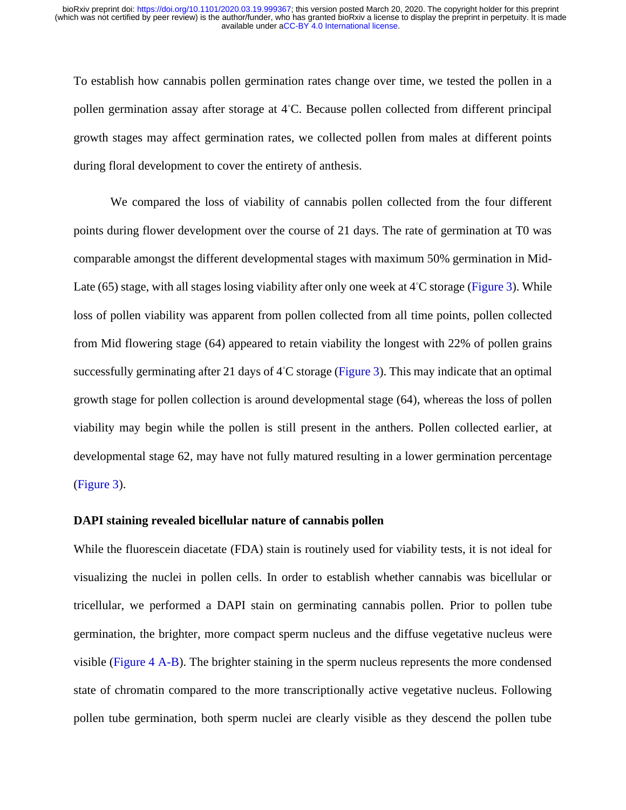To establish how cannabis pollen germination rates change over time, we tested the pollen in a pollen germination assay after storage at 4◦C. Because pollen collected from different principal growth stages may affect germination rates, we collected pollen from males at different points during floral development to cover the entirety of anthesis.

We compared the loss of viability of cannabis pollen collected from the four different points during flower development over the course of 21 days. The rate of germination at T0 was comparable amongst the different developmental stages with maximum 50% germination in Mid-Late (65) stage, with all stages losing viability after only one week at 4℃ storage (Figure 3). While loss of pollen viability was apparent from pollen collected from all time points, pollen collected from Mid flowering stage (64) appeared to retain viability the longest with 22% of pollen grains successfully germinating after 21 days of 4℃ storage (Figure 3). This may indicate that an optimal growth stage for pollen collection is around developmental stage (64), whereas the loss of pollen viability may begin while the pollen is still present in the anthers. Pollen collected earlier, at developmental stage 62, may have not fully matured resulting in a lower germination percentage (Figure 3).

#### **DAPI staining revealed bicellular nature of cannabis pollen**

While the fluorescein diacetate (FDA) stain is routinely used for viability tests, it is not ideal for visualizing the nuclei in pollen cells. In order to establish whether cannabis was bicellular or tricellular, we performed a DAPI stain on germinating cannabis pollen. Prior to pollen tube germination, the brighter, more compact sperm nucleus and the diffuse vegetative nucleus were visible (Figure 4 A-B). The brighter staining in the sperm nucleus represents the more condensed state of chromatin compared to the more transcriptionally active vegetative nucleus. Following pollen tube germination, both sperm nuclei are clearly visible as they descend the pollen tube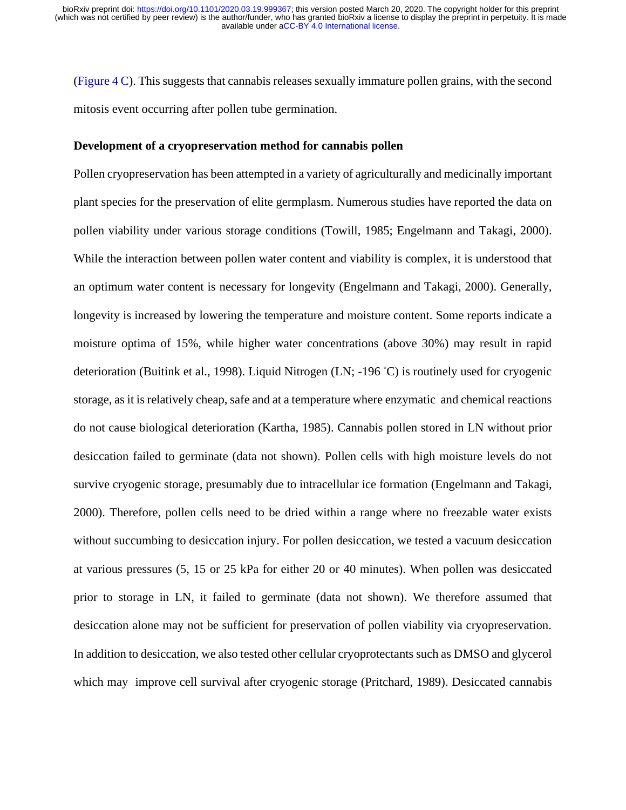(Figure 4 C). This suggests that cannabis releases sexually immature pollen grains, with the second mitosis event occurring after pollen tube germination.

#### **Development of a cryopreservation method for cannabis pollen**

Pollen cryopreservation has been attempted in a variety of agriculturally and medicinally important plant species for the preservation of elite germplasm. Numerous studies have reported the data on pollen viability under various storage conditions (Towill, 1985; Engelmann and Takagi, 2000). While the interaction between pollen water content and viability is complex, it is understood that an optimum water content is necessary for longevity (Engelmann and Takagi, 2000). Generally, longevity is increased by lowering the temperature and moisture content. Some reports indicate a moisture optima of 15%, while higher water concentrations (above 30%) may result in rapid deterioration (Buitink et al., 1998). Liquid Nitrogen (LN; -196 ◦C) is routinely used for cryogenic storage, as it is relatively cheap, safe and at a temperature where enzymatic and chemical reactions do not cause biological deterioration (Kartha, 1985). Cannabis pollen stored in LN without prior desiccation failed to germinate (data not shown). Pollen cells with high moisture levels do not survive cryogenic storage, presumably due to intracellular ice formation (Engelmann and Takagi, 2000). Therefore, pollen cells need to be dried within a range where no freezable water exists without succumbing to desiccation injury. For pollen desiccation, we tested a vacuum desiccation at various pressures (5, 15 or 25 kPa for either 20 or 40 minutes). When pollen was desiccated prior to storage in LN, it failed to germinate (data not shown). We therefore assumed that desiccation alone may not be sufficient for preservation of pollen viability via cryopreservation. In addition to desiccation, we also tested other cellular cryoprotectants such as DMSO and glycerol which may improve cell survival after cryogenic storage (Pritchard, 1989). Desiccated cannabis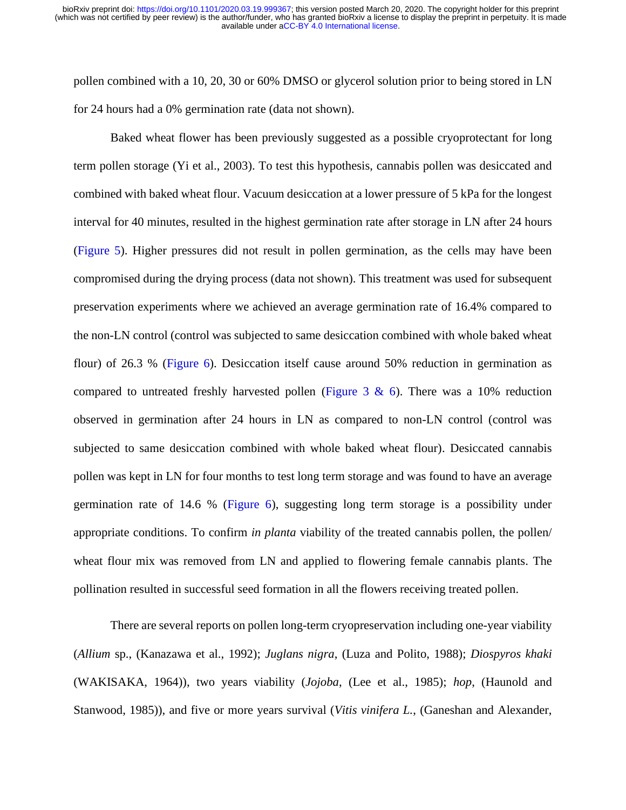pollen combined with a 10, 20, 30 or 60% DMSO or glycerol solution prior to being stored in LN for 24 hours had a 0% germination rate (data not shown).

Baked wheat flower has been previously suggested as a possible cryoprotectant for long term pollen storage (Yi et al., 2003). To test this hypothesis, cannabis pollen was desiccated and combined with baked wheat flour. Vacuum desiccation at a lower pressure of 5 kPa for the longest interval for 40 minutes, resulted in the highest germination rate after storage in LN after 24 hours (Figure 5). Higher pressures did not result in pollen germination, as the cells may have been compromised during the drying process (data not shown). This treatment was used for subsequent preservation experiments where we achieved an average germination rate of 16.4% compared to the non-LN control (control was subjected to same desiccation combined with whole baked wheat flour) of 26.3 % (Figure 6). Desiccation itself cause around 50% reduction in germination as compared to untreated freshly harvested pollen (Figure 3 & 6). There was a 10% reduction observed in germination after 24 hours in LN as compared to non-LN control (control was subjected to same desiccation combined with whole baked wheat flour). Desiccated cannabis pollen was kept in LN for four months to test long term storage and was found to have an average germination rate of 14.6 % (Figure 6), suggesting long term storage is a possibility under appropriate conditions. To confirm *in planta* viability of the treated cannabis pollen, the pollen/ wheat flour mix was removed from LN and applied to flowering female cannabis plants. The pollination resulted in successful seed formation in all the flowers receiving treated pollen.

There are several reports on pollen long-term cryopreservation including one-year viability (*Allium* sp., (Kanazawa et al., 1992); *Juglans nigra*, (Luza and Polito, 1988); *Diospyros khaki* (WAKISAKA, 1964)), two years viability (*Jojoba*, (Lee et al., 1985); *hop*, (Haunold and Stanwood, 1985)), and five or more years survival (*Vitis vinifera L.*, (Ganeshan and Alexander,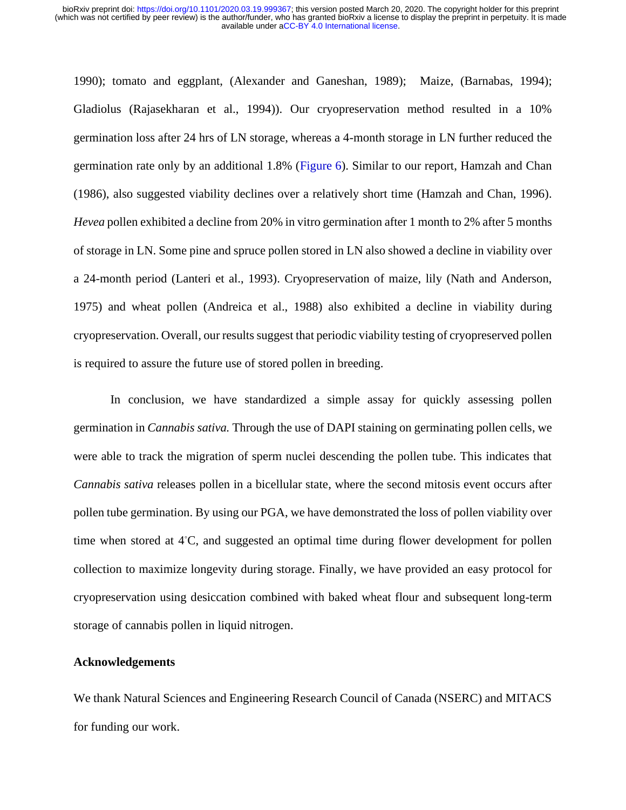1990); tomato and eggplant, (Alexander and Ganeshan, 1989); Maize, (Barnabas, 1994); Gladiolus (Rajasekharan et al., 1994)). Our cryopreservation method resulted in a 10% germination loss after 24 hrs of LN storage, whereas a 4-month storage in LN further reduced the germination rate only by an additional 1.8% (Figure 6). Similar to our report, Hamzah and Chan (1986), also suggested viability declines over a relatively short time (Hamzah and Chan, 1996). *Hevea* pollen exhibited a decline from 20% in vitro germination after 1 month to 2% after 5 months of storage in LN. Some pine and spruce pollen stored in LN also showed a decline in viability over a 24-month period (Lanteri et al., 1993). Cryopreservation of maize, lily (Nath and Anderson, 1975) and wheat pollen (Andreica et al., 1988) also exhibited a decline in viability during cryopreservation. Overall, our results suggest that periodic viability testing of cryopreserved pollen is required to assure the future use of stored pollen in breeding.

In conclusion, we have standardized a simple assay for quickly assessing pollen germination in *Cannabis sativa.* Through the use of DAPI staining on germinating pollen cells, we were able to track the migration of sperm nuclei descending the pollen tube. This indicates that *Cannabis sativa* releases pollen in a bicellular state, where the second mitosis event occurs after pollen tube germination. By using our PGA, we have demonstrated the loss of pollen viability over time when stored at 4◦C, and suggested an optimal time during flower development for pollen collection to maximize longevity during storage. Finally, we have provided an easy protocol for cryopreservation using desiccation combined with baked wheat flour and subsequent long-term storage of cannabis pollen in liquid nitrogen.

#### **Acknowledgements**

We thank Natural Sciences and Engineering Research Council of Canada (NSERC) and MITACS for funding our work.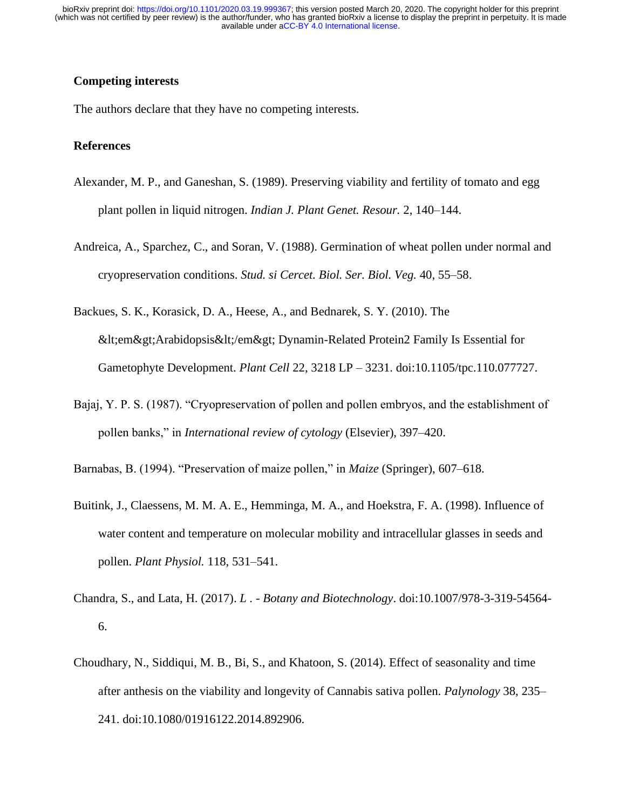# **Competing interests**

The authors declare that they have no competing interests.

## **References**

- Alexander, M. P., and Ganeshan, S. (1989). Preserving viability and fertility of tomato and egg plant pollen in liquid nitrogen. *Indian J. Plant Genet. Resour.* 2, 140–144.
- Andreica, A., Sparchez, C., and Soran, V. (1988). Germination of wheat pollen under normal and cryopreservation conditions. *Stud. si Cercet. Biol. Ser. Biol. Veg.* 40, 55–58.
- Backues, S. K., Korasick, D. A., Heese, A., and Bednarek, S. Y. (2010). The &It:em>Arabidopsis&It:/em> Dynamin-Related Protein2 Family Is Essential for Gametophyte Development. *Plant Cell* 22, 3218 LP – 3231. doi:10.1105/tpc.110.077727.
- Bajaj, Y. P. S. (1987). "Cryopreservation of pollen and pollen embryos, and the establishment of pollen banks," in *International review of cytology* (Elsevier), 397–420.
- Barnabas, B. (1994). "Preservation of maize pollen," in *Maize* (Springer), 607–618.
- Buitink, J., Claessens, M. M. A. E., Hemminga, M. A., and Hoekstra, F. A. (1998). Influence of water content and temperature on molecular mobility and intracellular glasses in seeds and pollen. *Plant Physiol.* 118, 531–541.
- Chandra, S., and Lata, H. (2017). *L . - Botany and Biotechnology*. doi:10.1007/978-3-319-54564- 6.
- Choudhary, N., Siddiqui, M. B., Bi, S., and Khatoon, S. (2014). Effect of seasonality and time after anthesis on the viability and longevity of Cannabis sativa pollen. *Palynology* 38, 235– 241. doi:10.1080/01916122.2014.892906.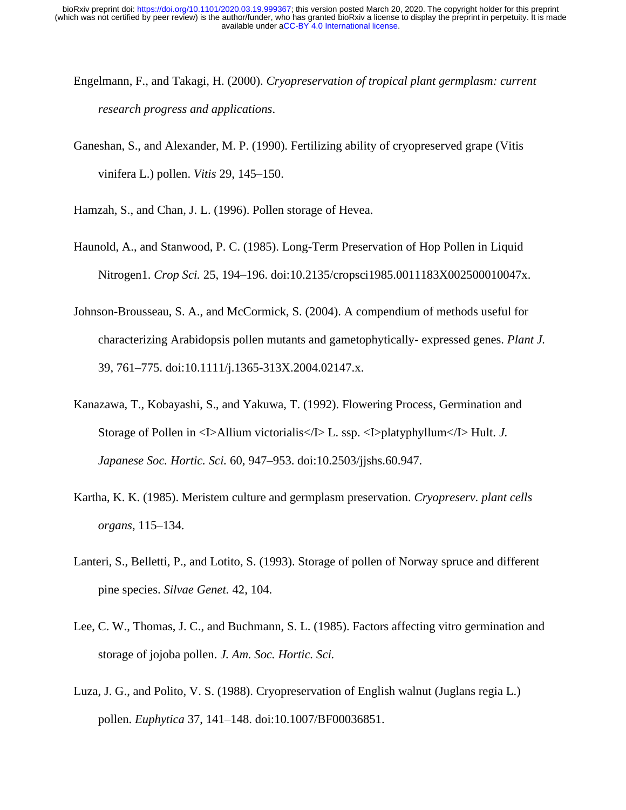- Engelmann, F., and Takagi, H. (2000). *Cryopreservation of tropical plant germplasm: current research progress and applications*.
- Ganeshan, S., and Alexander, M. P. (1990). Fertilizing ability of cryopreserved grape (Vitis vinifera L.) pollen. *Vitis* 29, 145–150.
- Hamzah, S., and Chan, J. L. (1996). Pollen storage of Hevea.
- Haunold, A., and Stanwood, P. C. (1985). Long-Term Preservation of Hop Pollen in Liquid Nitrogen1. *Crop Sci.* 25, 194–196. doi:10.2135/cropsci1985.0011183X002500010047x.
- Johnson-Brousseau, S. A., and McCormick, S. (2004). A compendium of methods useful for characterizing Arabidopsis pollen mutants and gametophytically- expressed genes. *Plant J.* 39, 761–775. doi:10.1111/j.1365-313X.2004.02147.x.
- Kanazawa, T., Kobayashi, S., and Yakuwa, T. (1992). Flowering Process, Germination and Storage of Pollen in <I>Allium victorialis</I> L. ssp. <I>platyphyllum</I> Hult. *J. Japanese Soc. Hortic. Sci.* 60, 947–953. doi:10.2503/jjshs.60.947.
- Kartha, K. K. (1985). Meristem culture and germplasm preservation. *Cryopreserv. plant cells organs*, 115–134.
- Lanteri, S., Belletti, P., and Lotito, S. (1993). Storage of pollen of Norway spruce and different pine species. *Silvae Genet.* 42, 104.
- Lee, C. W., Thomas, J. C., and Buchmann, S. L. (1985). Factors affecting vitro germination and storage of jojoba pollen. *J. Am. Soc. Hortic. Sci.*
- Luza, J. G., and Polito, V. S. (1988). Cryopreservation of English walnut (Juglans regia L.) pollen. *Euphytica* 37, 141–148. doi:10.1007/BF00036851.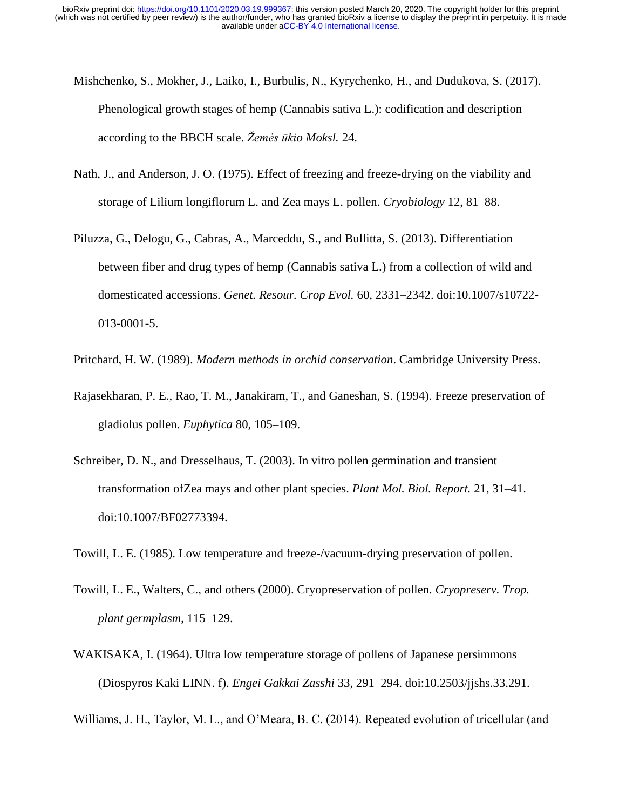- Mishchenko, S., Mokher, J., Laiko, I., Burbulis, N., Kyrychenko, H., and Dudukova, S. (2017). Phenological growth stages of hemp (Cannabis sativa L.): codification and description according to the BBCH scale. *Žemės ūkio Moksl.* 24.
- Nath, J., and Anderson, J. O. (1975). Effect of freezing and freeze-drying on the viability and storage of Lilium longiflorum L. and Zea mays L. pollen. *Cryobiology* 12, 81–88.
- Piluzza, G., Delogu, G., Cabras, A., Marceddu, S., and Bullitta, S. (2013). Differentiation between fiber and drug types of hemp (Cannabis sativa L.) from a collection of wild and domesticated accessions. *Genet. Resour. Crop Evol.* 60, 2331–2342. doi:10.1007/s10722- 013-0001-5.
- Pritchard, H. W. (1989). *Modern methods in orchid conservation*. Cambridge University Press.
- Rajasekharan, P. E., Rao, T. M., Janakiram, T., and Ganeshan, S. (1994). Freeze preservation of gladiolus pollen. *Euphytica* 80, 105–109.
- Schreiber, D. N., and Dresselhaus, T. (2003). In vitro pollen germination and transient transformation ofZea mays and other plant species. *Plant Mol. Biol. Report.* 21, 31–41. doi:10.1007/BF02773394.
- Towill, L. E. (1985). Low temperature and freeze-/vacuum-drying preservation of pollen.
- Towill, L. E., Walters, C., and others (2000). Cryopreservation of pollen. *Cryopreserv. Trop. plant germplasm*, 115–129.
- WAKISAKA, I. (1964). Ultra low temperature storage of pollens of Japanese persimmons (Diospyros Kaki LINN. f). *Engei Gakkai Zasshi* 33, 291–294. doi:10.2503/jjshs.33.291.

Williams, J. H., Taylor, M. L., and O'Meara, B. C. (2014). Repeated evolution of tricellular (and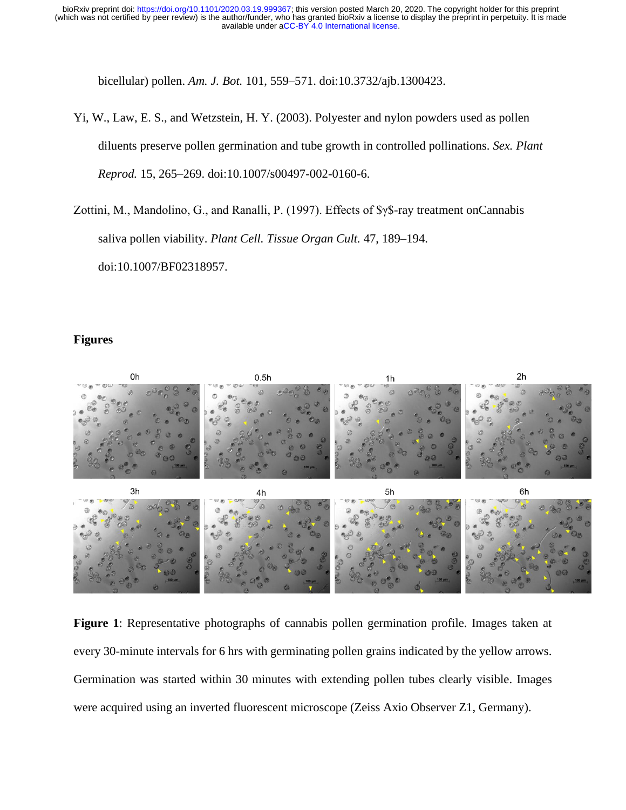bicellular) pollen. *Am. J. Bot.* 101, 559–571. doi:10.3732/ajb.1300423.

- Yi, W., Law, E. S., and Wetzstein, H. Y. (2003). Polyester and nylon powders used as pollen diluents preserve pollen germination and tube growth in controlled pollinations. *Sex. Plant Reprod.* 15, 265–269. doi:10.1007/s00497-002-0160-6.
- Zottini, M., Mandolino, G., and Ranalli, P. (1997). Effects of \$γ\$-ray treatment onCannabis saliva pollen viability. *Plant Cell. Tissue Organ Cult.* 47, 189–194. doi:10.1007/BF02318957.

# **Figures**



**Figure 1**: Representative photographs of cannabis pollen germination profile. Images taken at every 30-minute intervals for 6 hrs with germinating pollen grains indicated by the yellow arrows. Germination was started within 30 minutes with extending pollen tubes clearly visible. Images were acquired using an inverted fluorescent microscope (Zeiss Axio Observer Z1, Germany).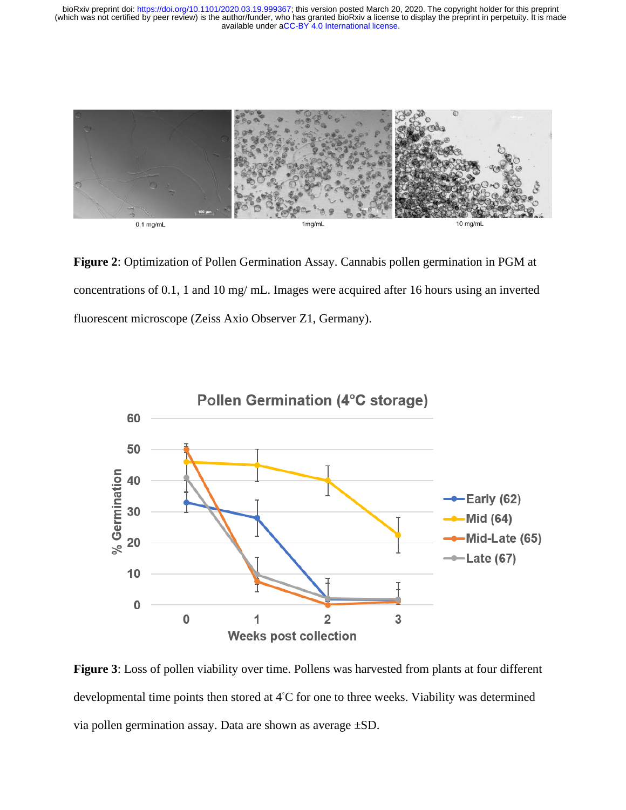

**Figure 2**: Optimization of Pollen Germination Assay. Cannabis pollen germination in PGM at concentrations of 0.1, 1 and 10 mg/ mL. Images were acquired after 16 hours using an inverted fluorescent microscope (Zeiss Axio Observer Z1, Germany).



**Figure 3**: Loss of pollen viability over time. Pollens was harvested from plants at four different developmental time points then stored at 4◦C for one to three weeks. Viability was determined via pollen germination assay. Data are shown as average ±SD.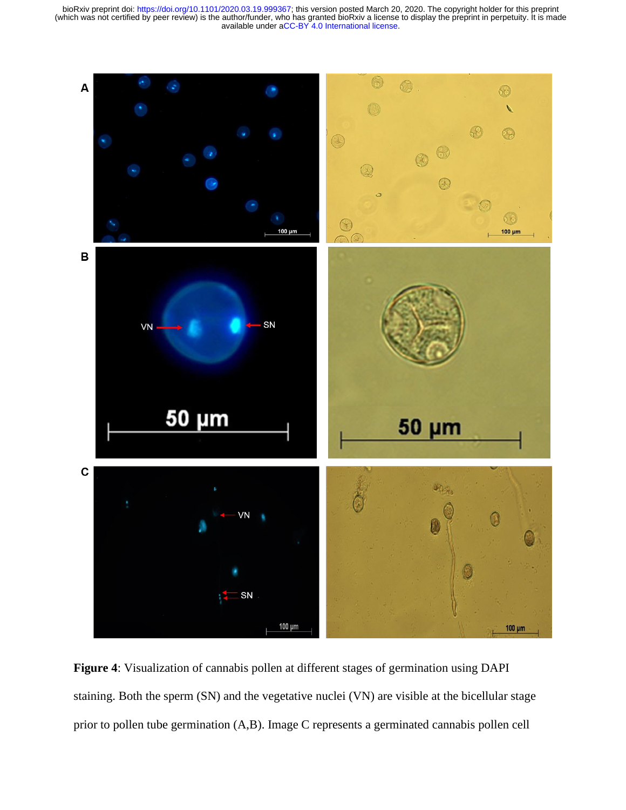

**Figure 4**: Visualization of cannabis pollen at different stages of germination using DAPI staining. Both the sperm (SN) and the vegetative nuclei (VN) are visible at the bicellular stage prior to pollen tube germination (A,B). Image C represents a germinated cannabis pollen cell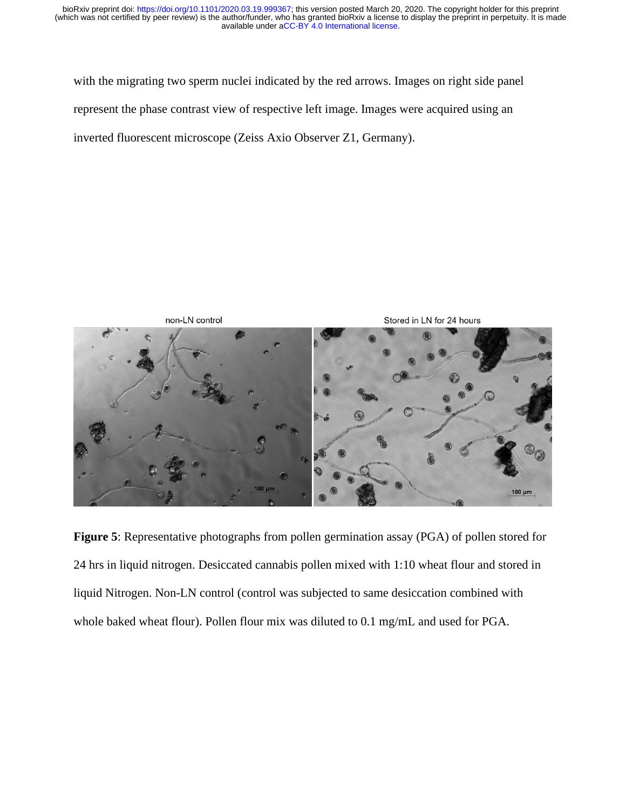with the migrating two sperm nuclei indicated by the red arrows. Images on right side panel represent the phase contrast view of respective left image. Images were acquired using an inverted fluorescent microscope (Zeiss Axio Observer Z1, Germany).



**Figure 5**: Representative photographs from pollen germination assay (PGA) of pollen stored for 24 hrs in liquid nitrogen. Desiccated cannabis pollen mixed with 1:10 wheat flour and stored in liquid Nitrogen. Non-LN control (control was subjected to same desiccation combined with whole baked wheat flour). Pollen flour mix was diluted to 0.1 mg/mL and used for PGA.